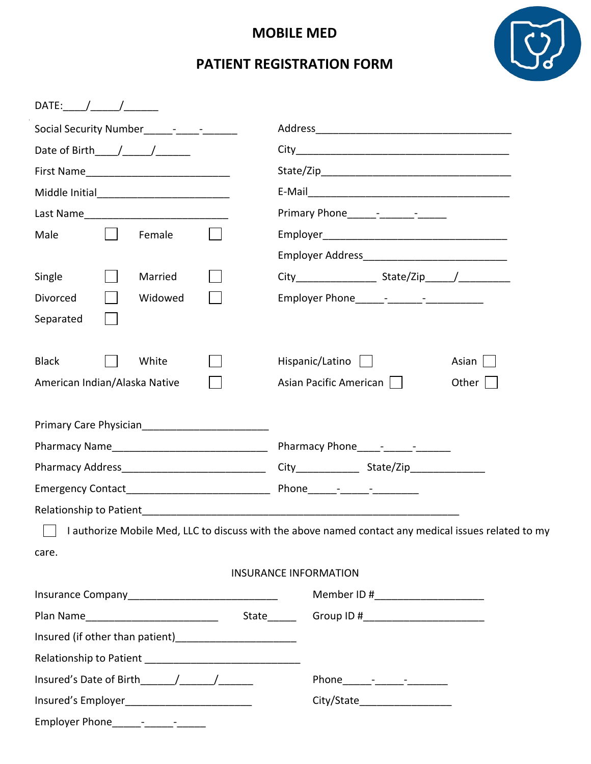## **MOBILE MED**

# **PATIENT REGISTRATION FORM**

 $\alpha$ 

| DATE:                         |                                                                                                      |
|-------------------------------|------------------------------------------------------------------------------------------------------|
|                               |                                                                                                      |
| Date of Birth $/$ $/$ $/$     |                                                                                                      |
|                               |                                                                                                      |
|                               |                                                                                                      |
|                               |                                                                                                      |
| Male<br>Female                |                                                                                                      |
|                               | Employer Address______________________________                                                       |
| Single<br>Married             |                                                                                                      |
| Divorced<br>Widowed           |                                                                                                      |
| Separated                     |                                                                                                      |
| <b>Black</b><br>White         | Hispanic/Latino  <br>Asian $\vert \ \vert$                                                           |
| American Indian/Alaska Native | Asian Pacific American    <br>Other $ $                                                              |
|                               |                                                                                                      |
|                               |                                                                                                      |
|                               |                                                                                                      |
|                               |                                                                                                      |
|                               |                                                                                                      |
|                               |                                                                                                      |
|                               | I authorize Mobile Med, LLC to discuss with the above named contact any medical issues related to my |
| care.                         |                                                                                                      |
|                               | <b>INSURANCE INFORMATION</b>                                                                         |
|                               | Member ID #_______________________                                                                   |
|                               |                                                                                                      |
|                               |                                                                                                      |
|                               |                                                                                                      |
|                               |                                                                                                      |
|                               | City/State____________________                                                                       |
|                               |                                                                                                      |